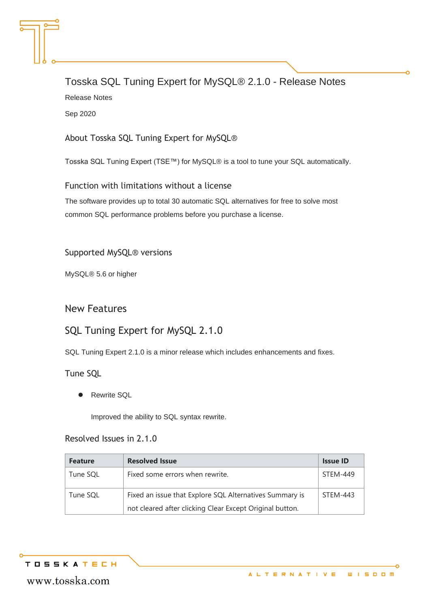# Tosska SQL Tuning Expert for MySQL® 2.1.0 - Release Notes Release Notes Sep 2020

About Tosska SQL Tuning Expert for MySQL®

Tosska SQL Tuning Expert (TSE™) for MySQL® is a tool to tune your SQL automatically.

#### Function with limitations without a license

The software provides up to total 30 automatic SQL alternatives for free to solve most common SQL performance problems before you purchase a license.

#### Supported MySQL® versions

MySQL® 5.6 or higher

### New Features

## SQL Tuning Expert for MySQL 2.1.0

SQL Tuning Expert 2.1.0 is a minor release which includes enhancements and fixes.

#### Tune SQL

⚫ Rewrite SQL

Improved the ability to SQL syntax rewrite.

### Resolved Issues in 2.1.0

| <b>Feature</b> | <b>Resolved Issue</b>                                    | <b>Issue ID</b> |
|----------------|----------------------------------------------------------|-----------------|
| Tune SQL       | Fixed some errors when rewrite.                          | STEM-449        |
| Tune SQL       | Fixed an issue that Explore SQL Alternatives Summary is  | STEM-443        |
|                | not cleared after clicking Clear Except Original button. |                 |

#### **TOSSKATECH**

www.tosska.com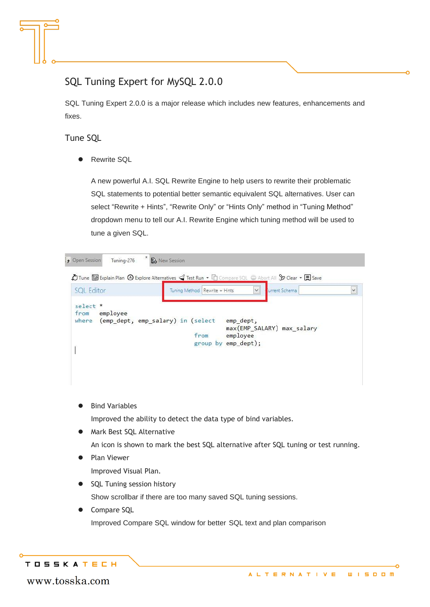# SQL Tuning Expert for MySQL 2.0.0

SQL Tuning Expert 2.0.0 is a major release which includes new features, enhancements and fixes.

#### Tune SQL

⚫ Rewrite SQL

A new powerful A.I. SQL Rewrite Engine to help users to rewrite their problematic SQL statements to potential better semantic equivalent SQL alternatives. User can select "Rewrite + Hints", "Rewrite Only" or "Hints Only" method in "Tuning Method" dropdown menu to tell our A.I. Rewrite Engine which tuning method will be used to tune a given SQL.

| <b>SQL Editor</b>                           | $\backsim$<br>Tuning Method   Rewrite + Hints<br>urrent Schema                                                          |
|---------------------------------------------|-------------------------------------------------------------------------------------------------------------------------|
| select *<br>from<br>employee<br>where       | (emp_dept, emp_salary) in (select<br>emp_dept,<br>max(EMP_SALARY) max_salary<br>employee<br>from<br>group by emp_dept); |
| <b>Bind Variables</b>                       | Improved the ability to detect the data type of bind variables.                                                         |
| Mark Best SQL Alternative                   |                                                                                                                         |
|                                             |                                                                                                                         |
|                                             | An icon is shown to mark the best SQL alternative after SQL tuning or test running.                                     |
| <b>Plan Viewer</b><br>Improved Visual Plan. |                                                                                                                         |
| SQL Tuning session history                  |                                                                                                                         |
|                                             | Show scrollbar if there are too many saved SQL tuning sessions.                                                         |
| Compare SQL                                 |                                                                                                                         |

**TOSSKATECH**